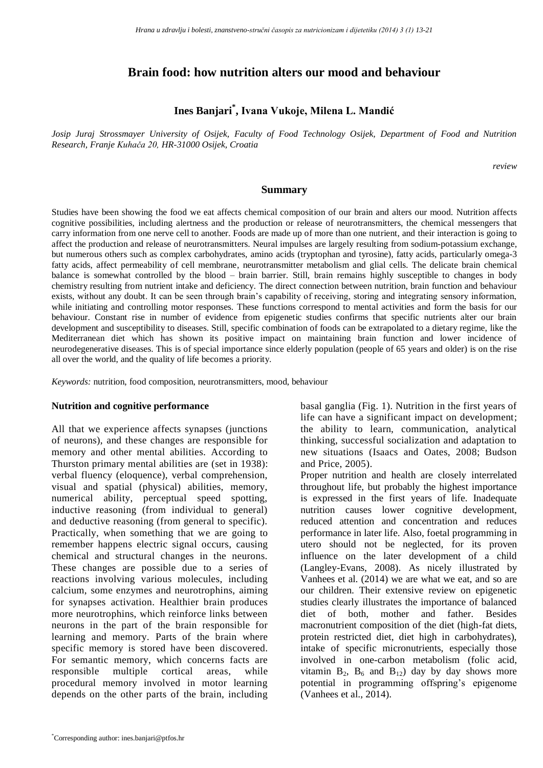## **Brain food: how nutrition alters our mood and behaviour**

# **Ines Banjari\* , Ivana Vukoje, Milena L. Mandić**

*Josip Juraj Strossmayer University of Osijek, Faculty of Food Technology Osijek, Department of Food and Nutrition Research, Franje Kuhača 20, HR-31000 Osijek, Croatia*

*review*

#### **Summary**

Studies have been showing the food we eat affects chemical composition of our brain and alters our mood. Nutrition affects cognitive possibilities, including alertness and the production or release of neurotransmitters, the chemical messengers that carry information from one nerve cell to another. Foods are made up of more than one nutrient, and their interaction is going to affect the production and release of neurotransmitters. Neural impulses are largely resulting from sodium-potassium exchange, but numerous others such as complex carbohydrates, amino acids (tryptophan and tyrosine), fatty acids, particularly omega-3 fatty acids, affect permeability of cell membrane, neurotransmitter metabolism and glial cells. The delicate brain chemical balance is somewhat controlled by the blood – brain barrier. Still, brain remains highly susceptible to changes in body chemistry resulting from nutrient intake and deficiency. The direct connection between nutrition, brain function and behaviour exists, without any doubt. It can be seen through brain's capability of receiving, storing and integrating sensory information, while initiating and controlling motor responses. These functions correspond to mental activities and form the basis for our behaviour. Constant rise in number of evidence from epigenetic studies confirms that specific nutrients alter our brain development and susceptibility to diseases. Still, specific combination of foods can be extrapolated to a dietary regime, like the Mediterranean diet which has shown its positive impact on maintaining brain function and lower incidence of neurodegenerative diseases. This is of special importance since elderly population (people of 65 years and older) is on the rise all over the world, and the quality of life becomes a priority.

*Keywords:* nutrition, food composition, neurotransmitters, mood, behaviour

### **Nutrition and cognitive performance**

All that we experience affects synapses (junctions of neurons), and these changes are responsible for memory and other mental abilities. According to Thurston primary mental abilities are (set in 1938): verbal fluency (eloquence), verbal comprehension, visual and spatial (physical) abilities, memory, numerical ability, perceptual speed spotting, inductive reasoning (from individual to general) and deductive reasoning (from general to specific). Practically, when something that we are going to remember happens electric signal occurs, causing chemical and structural changes in the neurons. These changes are possible due to a series of reactions involving various molecules, including calcium, some enzymes and neurotrophins, aiming for synapses activation. Healthier brain produces more neurotrophins, which reinforce links between neurons in the part of the brain responsible for learning and memory. Parts of the brain where specific memory is stored have been discovered. For semantic memory, which concerns facts are responsible multiple cortical areas, while procedural memory involved in motor learning depends on the other parts of the brain, including basal ganglia (Fig. 1). Nutrition in the first years of life can have a significant impact on development; the ability to learn, communication, analytical thinking, successful socialization and adaptation to new situations (Isaacs and Oates, 2008; Budson and Price, 2005).

Proper nutrition and health are closely interrelated throughout life, but probably the highest importance is expressed in the first years of life. Inadequate nutrition causes lower cognitive development, reduced attention and concentration and reduces performance in later life. Also, foetal programming in utero should not be neglected, for its proven influence on the later development of a child (Langley-Evans, 2008). As nicely illustrated by Vanhees et al. (2014) we are what we eat, and so are our children. Their extensive review on epigenetic studies clearly illustrates the importance of balanced diet of both, mother and father. Besides macronutrient composition of the diet (high-fat diets, protein restricted diet, diet high in carbohydrates), intake of specific micronutrients, especially those involved in one-carbon metabolism (folic acid, vitamin  $B_2$ ,  $B_6$  and  $B_{12}$ ) day by day shows more potential in programming offspring's epigenome (Vanhees et al., 2014).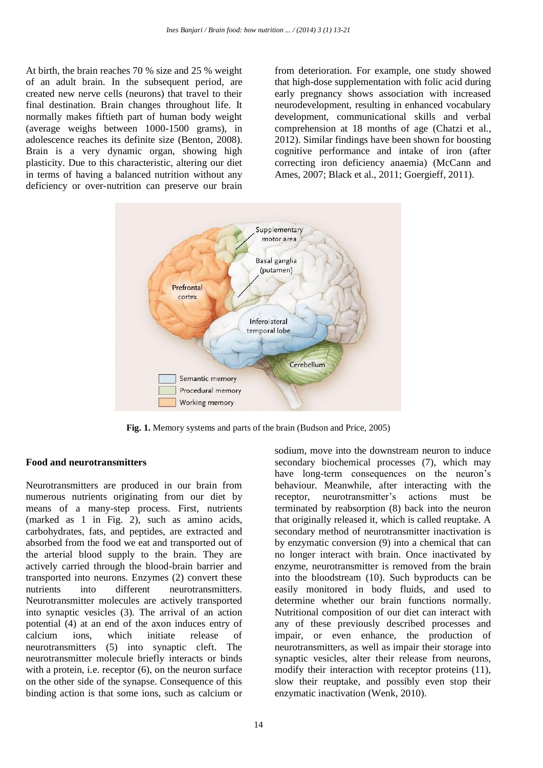At birth, the brain reaches 70 % size and 25 % weight of an adult brain. In the subsequent period, are created new nerve cells (neurons) that travel to their final destination. Brain changes throughout life. It normally makes fiftieth part of human body weight (average weighs between 1000-1500 grams), in adolescence reaches its definite size (Benton, 2008). Brain is a very dynamic organ, showing high plasticity. Due to this characteristic, altering our diet in terms of having a balanced nutrition without any deficiency or over-nutrition can preserve our brain

from deterioration. For example, one study showed that high-dose supplementation with folic acid during early pregnancy shows association with increased neurodevelopment, resulting in enhanced vocabulary development, communicational skills and verbal comprehension at 18 months of age (Chatzi et al., 2012). Similar findings have been shown for boosting cognitive performance and intake of iron (after correcting iron deficiency anaemia) (McCann and Ames, 2007; Black et al., 2011; Goergieff, 2011).



**Fig. 1.** Memory systems and parts of the brain (Budson and Price, 2005)

### **Food and neurotransmitters**

Neurotransmitters are produced in our brain from numerous nutrients originating from our diet by means of a many-step process. First, nutrients (marked as 1 in Fig. 2), such as amino acids, carbohydrates, fats, and peptides, are extracted and absorbed from the food we eat and transported out of the arterial blood supply to the brain. They are actively carried through the blood-brain barrier and transported into neurons. Enzymes (2) convert these nutrients into different neurotransmitters. Neurotransmitter molecules are actively transported into synaptic vesicles (3). The arrival of an action potential (4) at an end of the axon induces entry of calcium ions, which initiate release of neurotransmitters (5) into synaptic cleft. The neurotransmitter molecule briefly interacts or binds with a protein, i.e. receptor  $(6)$ , on the neuron surface on the other side of the synapse. Consequence of this binding action is that some ions, such as calcium or

secondary biochemical processes (7), which may have long-term consequences on the neuron's behaviour. Meanwhile, after interacting with the receptor, neurotransmitter's actions must be terminated by reabsorption (8) back into the neuron that originally released it, which is called reuptake. A secondary method of neurotransmitter inactivation is by enzymatic conversion (9) into a chemical that can no longer interact with brain. Once inactivated by enzyme, neurotransmitter is removed from the brain into the bloodstream (10). Such byproducts can be easily monitored in body fluids, and used to determine whether our brain functions normally. Nutritional composition of our diet can interact with any of these previously described processes and impair, or even enhance, the production of neurotransmitters, as well as impair their storage into synaptic vesicles, alter their release from neurons, modify their interaction with receptor proteins (11), slow their reuptake, and possibly even stop their enzymatic inactivation (Wenk, 2010).

sodium, move into the downstream neuron to induce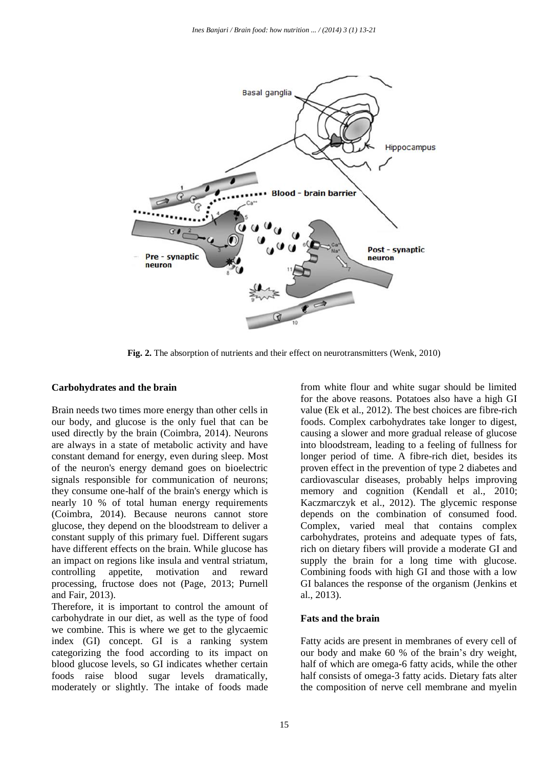

**Fig. 2.** The absorption of nutrients and their effect on neurotransmitters (Wenk, 2010)

### **Carbohydrates and the brain**

Brain needs two times more energy than other cells in our body, and glucose is the only fuel that can be used directly by the brain (Coimbra, 2014). Neurons are always in a state of metabolic activity and have constant demand for energy, even during sleep. Most of the neuron's energy demand goes on bioelectric signals responsible for communication of neurons; they consume one-half of the brain's energy which is nearly 10 % of total human energy requirements (Coimbra, 2014). Because neurons cannot store glucose, they depend on the bloodstream to deliver a constant supply of this primary fuel. Different sugars have different effects on the brain. While glucose has an impact on regions like insula and ventral striatum, controlling appetite, motivation and reward processing, fructose does not (Page, 2013; Purnell and Fair, 2013).

Therefore, it is important to control the amount of carbohydrate in our diet, as well as the type of food we combine. This is where we get to the glycaemic index (GI) concept. GI is a ranking system categorizing the food according to its impact on blood glucose levels, so GI indicates whether certain foods raise blood sugar levels dramatically, moderately or slightly. The intake of foods made from white flour and white sugar should be limited for the above reasons. Potatoes also have a high GI value (Ek et al., 2012). The best choices are fibre-rich foods. Complex carbohydrates take longer to digest, causing a slower and more gradual release of glucose into bloodstream, leading to a feeling of fullness for longer period of time. A fibre-rich diet, besides its proven effect in the prevention of type 2 diabetes and cardiovascular diseases, probably helps improving memory and cognition (Kendall et al., 2010; Kaczmarczyk et al., 2012). The glycemic response depends on the combination of consumed food. Complex, varied meal that contains complex carbohydrates, proteins and adequate types of fats, rich on dietary fibers will provide a moderate GI and supply the brain for a long time with glucose. Combining foods with high GI and those with a low GI balances the response of the organism (Jenkins et al., 2013).

## **Fats and the brain**

Fatty acids are present in membranes of every cell of our body and make 60 % of the brain's dry weight, half of which are omega-6 fatty acids, while the other half consists of omega-3 fatty acids. Dietary fats alter the composition of nerve cell membrane and myelin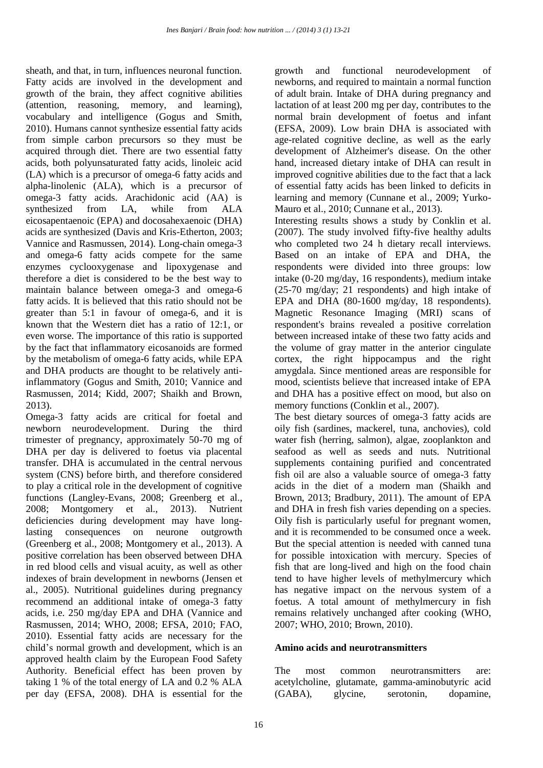sheath, and that, in turn, influences neuronal function. Fatty acids are involved in the development and growth of the brain, they affect cognitive abilities (attention, reasoning, memory, and learning), vocabulary and intelligence (Gogus and Smith, 2010). Humans cannot synthesize essential fatty acids from simple carbon precursors so they must be acquired through diet. There are two essential fatty acids, both polyunsaturated fatty acids, linoleic acid (LA) which is a precursor of omega-6 fatty acids and alpha-linolenic (ALA), which is a precursor of omega-3 fatty acids. Arachidonic acid (AA) is synthesized from LA, while from ALA eicosapentaenoic (EPA) and docosahexaenoic (DHA) acids are synthesized (Davis and Kris-Etherton, 2003; Vannice and Rasmussen, 2014). Long-chain omega-3 and omega-6 fatty acids compete for the same enzymes cyclooxygenase and lipoxygenase and therefore a diet is considered to be the best way to maintain balance between omega-3 and omega-6 fatty acids. It is believed that this ratio should not be greater than 5:1 in favour of omega-6, and it is known that the Western diet has a ratio of 12:1, or even worse. The importance of this ratio is supported by the fact that inflammatory eicosanoids are formed by the metabolism of omega-6 fatty acids, while EPA and DHA products are thought to be relatively antiinflammatory (Gogus and Smith, 2010; Vannice and Rasmussen, 2014; Kidd, 2007; Shaikh and Brown, 2013).

Omega-3 fatty acids are critical for foetal and newborn neurodevelopment. During the third trimester of pregnancy, approximately 50-70 mg of DHA per day is delivered to foetus via placental transfer. DHA is accumulated in the central nervous system (CNS) before birth, and therefore considered to play a critical role in the development of cognitive functions (Langley-Evans, 2008; Greenberg et al., 2008; Montgomery et al., 2013). Nutrient deficiencies during development may have longlasting consequences on neurone outgrowth (Greenberg et al., 2008; Montgomery et al., 2013). A positive correlation has been observed between DHA in red blood cells and visual acuity, as well as other indexes of brain development in newborns (Jensen et al., 2005). Nutritional guidelines during pregnancy recommend an additional intake of omega-3 fatty acids, i.e. 250 mg/day EPA and DHA (Vannice and Rasmussen, 2014; WHO, 2008; EFSA, 2010; FAO, 2010). Essential fatty acids are necessary for the child's normal growth and development, which is an approved health claim by the European Food Safety Authority. Beneficial effect has been proven by taking 1 % of the total energy of LA and 0.2 % ALA per day (EFSA, 2008). DHA is essential for the

growth and functional neurodevelopment of newborns, and required to maintain a normal function of adult brain. Intake of DHA during pregnancy and lactation of at least 200 mg per day, contributes to the normal brain development of foetus and infant (EFSA, 2009). Low brain DHA is associated with age-related cognitive decline, as well as the early development of Alzheimer's disease. On the other hand, increased dietary intake of DHA can result in improved cognitive abilities due to the fact that a lack of essential fatty acids has been linked to deficits in learning and memory (Cunnane et al., 2009; Yurko-Mauro et al., 2010; Cunnane et al., 2013).

Interesting results shows a study by Conklin et al. (2007). The study involved fifty-five healthy adults who completed two 24 h dietary recall interviews. Based on an intake of EPA and DHA, the respondents were divided into three groups: low intake (0-20 mg/day, 16 respondents), medium intake (25-70 mg/day; 21 respondents) and high intake of EPA and DHA (80-1600 mg/day, 18 respondents). Magnetic Resonance Imaging (MRI) scans of respondent's brains revealed a positive correlation between increased intake of these two fatty acids and the volume of gray matter in the anterior cingulate cortex, the right hippocampus and the right amygdala. Since mentioned areas are responsible for mood, scientists believe that increased intake of EPA and DHA has a positive effect on mood, but also on memory functions (Conklin et al., 2007).

The best dietary sources of omega-3 fatty acids are oily fish (sardines, mackerel, tuna, anchovies), cold water fish (herring, salmon), algae, zooplankton and seafood as well as seeds and nuts. Nutritional supplements containing purified and concentrated fish oil are also a valuable source of omega-3 fatty acids in the diet of a modern man (Shaikh and Brown, 2013; Bradbury, 2011). The amount of EPA and DHA in fresh fish varies depending on a species. Oily fish is particularly useful for pregnant women, and it is recommended to be consumed once a week. But the special attention is needed with canned tuna for possible intoxication with mercury. Species of fish that are long-lived and high on the food chain tend to have higher levels of methylmercury which has negative impact on the nervous system of a foetus. A total amount of methylmercury in fish remains relatively unchanged after cooking (WHO, 2007; WHO, 2010; Brown, 2010).

## **Amino acids and neurotransmitters**

The most common neurotransmitters are: acetylcholine, glutamate, gamma-aminobutyric acid (GABA), glycine, serotonin, dopamine,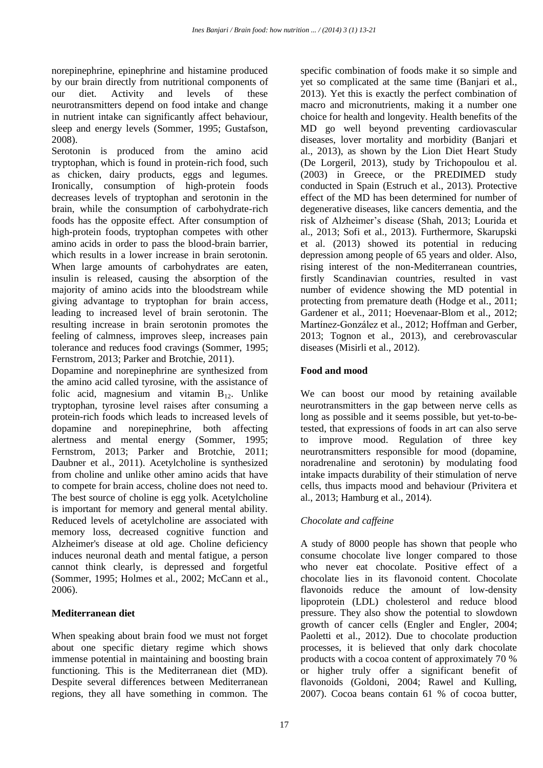norepinephrine, epinephrine and histamine produced by our brain directly from nutritional components of our diet. Activity and levels of these neurotransmitters depend on food intake and change in nutrient intake can significantly affect behaviour, sleep and energy levels (Sommer, 1995; Gustafson, 2008).

Serotonin is produced from the amino acid tryptophan, which is found in protein-rich food, such as chicken, dairy products, eggs and legumes. Ironically, consumption of high-protein foods decreases levels of tryptophan and serotonin in the brain, while the consumption of carbohydrate-rich foods has the opposite effect. After consumption of high-protein foods, tryptophan competes with other amino acids in order to pass the blood-brain barrier, which results in a lower increase in brain serotonin. When large amounts of carbohydrates are eaten, insulin is released, causing the absorption of the majority of amino acids into the bloodstream while giving advantage to tryptophan for brain access, leading to increased level of brain serotonin. The resulting increase in brain serotonin promotes the feeling of calmness, improves sleep, increases pain tolerance and reduces food cravings (Sommer, 1995; Fernstrom, 2013; Parker and Brotchie, 2011).

Dopamine and norepinephrine are synthesized from the amino acid called tyrosine, with the assistance of folic acid, magnesium and vitamin  $B_{12}$ . Unlike tryptophan, tyrosine level raises after consuming a protein-rich foods which leads to increased levels of dopamine and norepinephrine, both affecting alertness and mental energy (Sommer, 1995; Fernstrom, 2013; Parker and Brotchie, 2011; Daubner et al., 2011). Acetylcholine is synthesized from choline and unlike other amino acids that have to compete for brain access, choline does not need to. The best source of choline is egg yolk. Acetylcholine is important for memory and general mental ability. Reduced levels of acetylcholine are associated with memory loss, decreased cognitive function and Alzheimer's disease at old age. Choline deficiency induces neuronal death and mental fatigue, a person cannot think clearly, is depressed and forgetful (Sommer, 1995; Holmes et al., 2002; McCann et al., 2006).

## **Mediterranean diet**

When speaking about brain food we must not forget about one specific dietary regime which shows immense potential in maintaining and boosting brain functioning. This is the Mediterranean diet (MD). Despite several differences between Mediterranean regions, they all have something in common. The

specific combination of foods make it so simple and yet so complicated at the same time (Banjari et al., 2013). Yet this is exactly the perfect combination of macro and micronutrients, making it a number one choice for health and longevity. Health benefits of the MD go well beyond preventing cardiovascular diseases, lover mortality and morbidity (Banjari et al., 2013), as shown by the Lion Diet Heart Study (De Lorgeril, 2013), study by Trichopoulou et al. (2003) in Greece, or the PREDIMED study conducted in Spain (Estruch et al., 2013). Protective effect of the MD has been determined for number of degenerative diseases, like cancers dementia, and the risk of Alzheimer's disease (Shah, 2013; Lourida et al., 2013; Sofi et al., 2013). Furthermore, Skarupski et al. (2013) showed its potential in reducing depression among people of 65 years and older. Also, rising interest of the non-Mediterranean countries, firstly Scandinavian countries, resulted in vast number of evidence showing the MD potential in protecting from premature death (Hodge et al., 2011; Gardener et al., 2011; Hoevenaar-Blom et al., 2012; Martínez-González et al., 2012; Hoffman and Gerber, 2013; Tognon et al., 2013), and cerebrovascular diseases (Misirli et al., 2012).

## **Food and mood**

We can boost our mood by retaining available neurotransmitters in the gap between nerve cells as long as possible and it seems possible, but yet-to-betested, that expressions of foods in art can also serve to improve mood. Regulation of three key neurotransmitters responsible for mood (dopamine, noradrenaline and serotonin) by modulating food intake impacts durability of their stimulation of nerve cells, thus impacts mood and behaviour (Privitera et al., 2013; Hamburg et al., 2014).

# *Chocolate and caffeine*

A study of 8000 people has shown that people who consume chocolate live longer compared to those who never eat chocolate. Positive effect of a chocolate lies in its flavonoid content. Chocolate flavonoids reduce the amount of low-density lipoprotein (LDL) cholesterol and reduce blood pressure. They also show the potential to slowdown growth of cancer cells (Engler and Engler, 2004; Paoletti et al., 2012). Due to chocolate production processes, it is believed that only dark chocolate products with a cocoa content of approximately 70 % or higher truly offer a significant benefit of flavonoids (Goldoni, 2004; Rawel and Kulling, 2007). Cocoa beans contain 61 % of cocoa butter,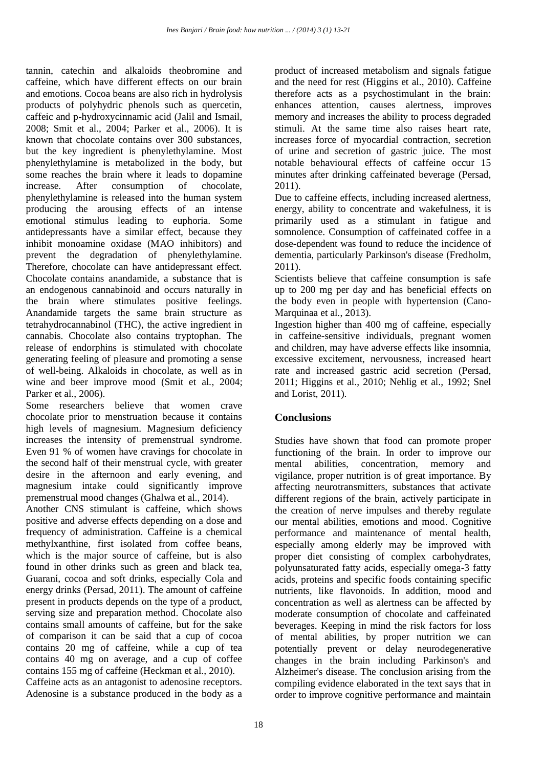tannin, catechin and alkaloids theobromine and caffeine, which have different effects on our brain and emotions. Cocoa beans are also rich in hydrolysis products of polyhydric phenols such as quercetin, caffeic and p-hydroxycinnamic acid (Jalil and Ismail, 2008; Smit et al., 2004; Parker et al., 2006). It is known that chocolate contains over 300 substances, but the key ingredient is phenylethylamine. Most phenylethylamine is metabolized in the body, but some reaches the brain where it leads to dopamine increase. After consumption of chocolate, phenylethylamine is released into the human system producing the arousing effects of an intense emotional stimulus leading to euphoria. Some antidepressants have a similar effect, because they inhibit monoamine oxidase (MAO inhibitors) and prevent the degradation of phenylethylamine. Therefore, chocolate can have antidepressant effect. Chocolate contains anandamide, a substance that is an endogenous cannabinoid and occurs naturally in the brain where stimulates positive feelings. Anandamide targets the same brain structure as tetrahydrocannabinol (THC), the active ingredient in cannabis. Chocolate also contains tryptophan. The release of endorphins is stimulated with chocolate generating feeling of pleasure and promoting a sense of well-being. Alkaloids in chocolate, as well as in wine and beer improve mood (Smit et al., 2004; Parker et al., 2006).

Some researchers believe that women crave chocolate prior to menstruation because it contains high levels of magnesium. Magnesium deficiency increases the intensity of premenstrual syndrome. Even 91 % of women have cravings for chocolate in the second half of their menstrual cycle, with greater desire in the afternoon and early evening, and magnesium intake could significantly improve premenstrual mood changes (Ghalwa et al., 2014).

Another CNS stimulant is caffeine, which shows positive and adverse effects depending on a dose and frequency of administration. Caffeine is a chemical methylxanthine, first isolated from coffee beans, which is the major source of caffeine, but is also found in other drinks such as green and black tea, Guaraní, cocoa and soft drinks, especially Cola and energy drinks (Persad, 2011). The amount of caffeine present in products depends on the type of a product, serving size and preparation method. Chocolate also contains small amounts of caffeine, but for the sake of comparison it can be said that a cup of cocoa contains 20 mg of caffeine, while a cup of tea contains 40 mg on average, and a cup of coffee contains 155 mg of caffeine (Heckman et al., 2010).

Caffeine acts as an antagonist to adenosine receptors. Adenosine is a substance produced in the body as a

product of increased metabolism and signals fatigue and the need for rest (Higgins et al., 2010). Caffeine therefore acts as a psychostimulant in the brain: enhances attention, causes alertness, improves memory and increases the ability to process degraded stimuli. At the same time also raises heart rate, increases force of myocardial contraction, secretion of urine and secretion of gastric juice. The most notable behavioural effects of caffeine occur 15 minutes after drinking caffeinated beverage (Persad, 2011).

Due to caffeine effects, including increased alertness, energy, ability to concentrate and wakefulness, it is primarily used as a stimulant in fatigue and somnolence. Consumption of caffeinated coffee in a dose-dependent was found to reduce the incidence of dementia, particularly Parkinson's disease (Fredholm, 2011).

Scientists believe that caffeine consumption is safe up to 200 mg per day and has beneficial effects on the body even in people with hypertension (Cano-Marquinaa et al., 2013).

Ingestion higher than 400 mg of caffeine, especially in caffeine-sensitive individuals, pregnant women and children, may have adverse effects like insomnia, excessive excitement, nervousness, increased heart rate and increased gastric acid secretion (Persad, 2011; Higgins et al., 2010; Nehlig et al., 1992; Snel and Lorist, 2011).

## **Conclusions**

Studies have shown that food can promote proper functioning of the brain. In order to improve our mental abilities, concentration, memory and vigilance, proper nutrition is of great importance. By affecting neurotransmitters, substances that activate different regions of the brain, actively participate in the creation of nerve impulses and thereby regulate our mental abilities, emotions and mood. Cognitive performance and maintenance of mental health, especially among elderly may be improved with proper diet consisting of complex carbohydrates, polyunsaturated fatty acids, especially omega-3 fatty acids, proteins and specific foods containing specific nutrients, like flavonoids. In addition, mood and concentration as well as alertness can be affected by moderate consumption of chocolate and caffeinated beverages. Keeping in mind the risk factors for loss of mental abilities, by proper nutrition we can potentially prevent or delay neurodegenerative changes in the brain including Parkinson's and Alzheimer's disease. The conclusion arising from the compiling evidence elaborated in the text says that in order to improve cognitive performance and maintain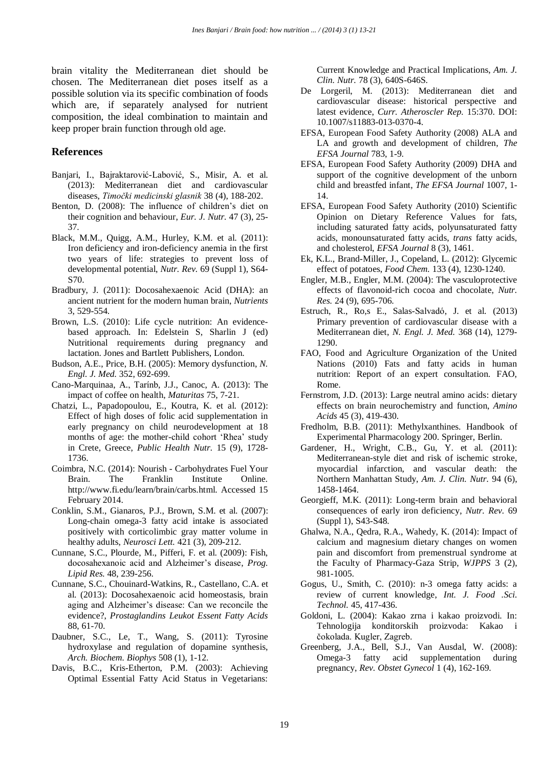brain vitality the Mediterranean diet should be chosen. The Mediterranean diet poses itself as a possible solution via its specific combination of foods which are, if separately analysed for nutrient composition, the ideal combination to maintain and keep proper brain function through old age.

### **References**

- Banjari, I., Bajraktarović-Labović, S., Misir, A. et al. (2013): Mediterranean diet and cardiovascular diseases, *Timočki medicinski glasnik* 38 (4), 188-202.
- Benton, D. (2008): The influence of children's diet on their cognition and behaviour, *Eur. J. Nutr.* 47 (3), 25- 37.
- Black, M.M., Quigg, A.M., Hurley, K.M. et al. (2011): Iron deficiency and iron-deficiency anemia in the first two years of life: strategies to prevent loss of developmental potential, *Nutr. Rev.* 69 (Suppl 1), S64- S70.
- Bradbury, J. (2011): Docosahexaenoic Acid (DHA): an ancient nutrient for the modern human brain, *Nutrients*  3, 529-554.
- Brown, L.S. (2010): Life cycle nutrition: An evidencebased approach. In: Edelstein S, Sharlin J (ed) Nutritional requirements during pregnancy and lactation. Jones and Bartlett Publishers, London.
- Budson, A.E., Price, B.H. (2005): Memory dysfunction, *N. Engl. J. Med.* 352, 692-699.
- Cano-Marquinaa, A., Tarínb, J.J., Canoc, A. (2013): The impact of coffee on health, *Maturitas* 75, 7-21.
- Chatzi, L., Papadopoulou, E., Koutra, K. et al. (2012): Effect of high doses of folic acid supplementation in early pregnancy on child neurodevelopment at 18 months of age: the mother-child cohort 'Rhea' study in Crete, Greece, *Public Health Nutr.* 15 (9), 1728- 1736.
- Coimbra, N.C. (2014): Nourish Carbohydrates Fuel Your Brain. The Franklin Institute Online. http://www.fi.edu/learn/brain/carbs.html. Accessed 15 February 2014.
- Conklin, S.M., Gianaros, P.J., Brown, S.M. et al. (2007): Long-chain omega-3 fatty acid intake is associated positively with corticolimbic gray matter volume in healthy adults, *Neurosci Lett.* 421 (3), 209-212.
- Cunnane, S.C., Plourde, M., Pifferi, F. et al. (2009): Fish, docosahexanoic acid and Alzheimer's disease, *Prog. Lipid Res.* 48, 239-256.
- Cunnane, S.C., Chouinard-Watkins, R., Castellano, C.A. et al. (2013): Docosahexaenoic acid homeostasis, brain aging and Alzheimer's disease: Can we reconcile the evidence?, *Prostaglandins Leukot Essent Fatty Acids* 88, 61-70.
- Daubner, S.C., Le, T., Wang, S. (2011): Tyrosine hydroxylase and regulation of dopamine synthesis, *Arch. Biochem. Biophys* 508 (1), 1-12.
- Davis, B.C., Kris-Etherton, P.M. (2003): Achieving Optimal Essential Fatty Acid Status in Vegetarians:

Current Knowledge and Practical Implications, *Am. J. Clin. Nutr.* 78 (3), 640S-646S.

- De Lorgeril, M. (2013): Mediterranean diet and cardiovascular disease: historical perspective and latest evidence, *Curr. Atheroscler Rep.* 15:370. DOI: 10.1007/s11883-013-0370-4.
- EFSA, European Food Safety Authority (2008) ALA and LA and growth and development of children, *The EFSA Journal* 783, 1-9.
- EFSA, European Food Safety Authority (2009) DHA and support of the cognitive development of the unborn child and breastfed infant, *The EFSA Journal* 1007, 1- 14.
- EFSA, European Food Safety Authority (2010) Scientific Opinion on Dietary Reference Values for fats, including saturated fatty acids, polyunsaturated fatty acids, monounsaturated fatty acids, *trans* fatty acids, and cholesterol, *EFSA Journal* 8 (3), 1461.
- Ek, K.L., Brand-Miller, J., Copeland, L. (2012): Glycemic effect of potatoes, *Food Chem.* 133 (4), 1230-1240.
- Engler, M.B., Engler, M.M. (2004): The vasculoprotective effects of flavonoid-rich cocoa and chocolate, *Nutr. Res.* 24 (9), 695-706.
- Estruch, R., Ro,s E., Salas-Salvadó, J. et al. (2013) Primary prevention of cardiovascular disease with a Mediterranean diet, *N. Engl. J. Med.* 368 (14), 1279- 1290.
- FAO, Food and Agriculture Organization of the United Nations (2010) Fats and fatty acids in human nutrition: Report of an expert consultation. FAO, Rome.
- Fernstrom, J.D. (2013): Large neutral amino acids: dietary effects on brain neurochemistry and function, *Amino Acids* 45 (3), 419-430.
- Fredholm, B.B. (2011): Methylxanthines. Handbook of Experimental Pharmacology 200. Springer, Berlin.
- Gardener, H., Wright, C.B., Gu, Y. et al. (2011): Mediterranean-style diet and risk of ischemic stroke, myocardial infarction, and vascular death: the Northern Manhattan Study, *Am. J. Clin. Nutr.* 94 (6), 1458-1464.
- Georgieff, M.K. (2011): Long-term brain and behavioral consequences of early iron deficiency, *Nutr. Rev.* 69 (Suppl 1), S43-S48.
- Ghalwa, N.A., Qedra, R.A., Wahedy, K. (2014): Impact of calcium and magnesium dietary changes on women pain and discomfort from premenstrual syndrome at the Faculty of Pharmacy-Gaza Strip, *WJPPS* 3 (2), 981-1005.
- Gogus, U., Smith, C. (2010): n-3 omega fatty acids: a review of current knowledge, *Int. J. Food .Sci. Technol.* 45, 417-436.
- Goldoni, L. (2004): Kakao zrna i kakao proizvodi. In: Tehnologija konditorskih proizvoda: Kakao i čokolada. Kugler, Zagreb.
- Greenberg, J.A., Bell, S.J., Van Ausdal, W. (2008): Omega-3 fatty acid supplementation during pregnancy, *Rev. Obstet Gynecol* 1 (4), 162-169.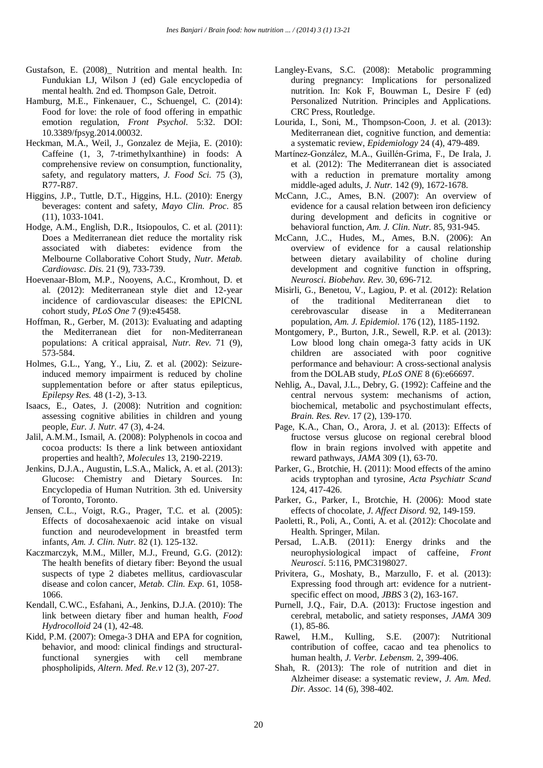- Gustafson, E. (2008) Nutrition and mental health. In: Fundukian LJ, Wilson J (ed) Gale encyclopedia of mental health. 2nd ed. Thompson Gale, Detroit.
- Hamburg, M.E., Finkenauer, C., Schuengel, C. (2014): Food for love: the role of food offering in empathic emotion regulation, *Front Psychol.* 5:32. DOI: 10.3389/fpsyg.2014.00032.
- Heckman, M.A., Weil, J., Gonzalez de Mejia, E. (2010): Caffeine (1, 3, 7-trimethylxanthine) in foods: A comprehensive review on consumption, functionality, safety, and regulatory matters, *J. Food Sci.* 75 (3), R77-R87.
- Higgins, J.P., Tuttle, D.T., Higgins, H.L. (2010): Energy beverages: content and safety, *Mayo Clin. Proc.* 85 (11), 1033-1041.
- Hodge, A.M., English, D.R., Itsiopoulos, C. et al. (2011): Does a Mediterranean diet reduce the mortality risk associated with diabetes: evidence from the Melbourne Collaborative Cohort Study, *Nutr. Metab. Cardiovasc. Dis.* 21 (9), 733-739.
- Hoevenaar-Blom, M.P., Nooyens, A.C., Kromhout, D. et al. (2012): Mediterranean style diet and 12-year incidence of cardiovascular diseases: the EPICNL cohort study, *PLoS One* 7 (9):e45458.
- Hoffman, R., Gerber, M. (2013): Evaluating and adapting the Mediterranean diet for non-Mediterranean populations: A critical appraisal, *Nutr. Rev.* 71 (9), 573-584.
- Holmes, G.L., Yang, Y., Liu, Z. et al. (2002): Seizureinduced memory impairment is reduced by choline supplementation before or after status epilepticus, *Epilepsy Res.* 48 (1-2), 3-13.
- Isaacs, E., Oates, J. (2008): Nutrition and cognition: assessing cognitive abilities in children and young people, *Eur. J. Nutr.* 47 (3), 4-24.
- Jalil, A.M.M., Ismail, A. (2008): Polyphenols in cocoa and cocoa products: Is there a link between antioxidant properties and health?, *Molecules* 13, 2190-2219.
- Jenkins, D.J.A., Augustin, L.S.A., Malick, A. et al. (2013): Glucose: Chemistry and Dietary Sources. In: Encyclopedia of Human Nutrition. 3th ed. University of Toronto, Toronto.
- Jensen, C.L., Voigt, R.G., Prager, T.C. et al. (2005): Effects of docosahexaenoic acid intake on visual function and neurodevelopment in breastfed term infants, *Am. J. Clin. Nutr.* 82 (1). 125-132.
- Kaczmarczyk, M.M., Miller, M.J., Freund, G.G. (2012): The health benefits of dietary fiber: Beyond the usual suspects of type 2 diabetes mellitus, cardiovascular disease and colon cancer, *Metab. Clin. Exp.* 61, 1058- 1066.
- Kendall, C.WC., Esfahani, A., Jenkins, D.J.A. (2010): The link between dietary fiber and human health, *Food Hydrocolloid* 24 (1), 42-48.
- Kidd, P.M. (2007): Omega-3 DHA and EPA for cognition, behavior, and mood: clinical findings and structuralfunctional synergies with cell membrane phospholipids, *Altern. Med. Re.v* 12 (3), 207-27.
- Langley-Evans, S.C. (2008): Metabolic programming during pregnancy: Implications for personalized nutrition. In: Kok F, Bouwman L, Desire F (ed) Personalized Nutrition. Principles and Applications. CRC Press, Routledge.
- Lourida, I., Soni, M., Thompson-Coon, J. et al. (2013): Mediterranean diet, cognitive function, and dementia: a systematic review, *Epidemiology* 24 (4), 479-489.
- Martínez-González, M.A., Guillén-Grima, F., De Irala, J. et al. (2012): The Mediterranean diet is associated with a reduction in premature mortality among middle-aged adults, *J. Nutr.* 142 (9), 1672-1678.
- McCann, J.C., Ames, B.N. (2007): An overview of evidence for a causal relation between iron deficiency during development and deficits in cognitive or behavioral function, *Am. J. Clin. Nutr.* 85, 931-945.
- McCann, J.C., Hudes, M., Ames, B.N. (2006): An overview of evidence for a causal relationship between dietary availability of choline during development and cognitive function in offspring, *Neurosci. Biobehav. Rev.* 30, 696-712.
- Misirli, G., Benetou, V., Lagiou, P. et al. (2012): Relation of the traditional Mediterranean diet to cerebrovascular disease in a Mediterranean population, *Am. J. Epidemiol.* 176 (12), 1185-1192.
- Montgomery, P., Burton, J.R., Sewell, R.P. et al. (2013): Low blood long chain omega-3 fatty acids in UK children are associated with poor cognitive performance and behaviour: A cross-sectional analysis from the DOLAB study, *PLoS ONE* 8 (6):e66697.
- Nehlig, A., Daval, J.L., Debry, G. (1992): Caffeine and the central nervous system: mechanisms of action, biochemical, metabolic and psychostimulant effects, *Brain. Res. Rev.* 17 (2), 139-170.
- Page, K.A., Chan, O., Arora, J. et al. (2013): Effects of fructose versus glucose on regional cerebral blood flow in brain regions involved with appetite and reward pathways, *JAMA* 309 (1), 63-70.
- Parker, G., Brotchie, H. (2011): Mood effects of the amino acids tryptophan and tyrosine, *Acta Psychiatr Scand* 124, 417-426.
- Parker, G., Parker, I., Brotchie, H. (2006): Mood state effects of chocolate, *J. Affect Disord.* 92, 149-159.
- Paoletti, R., Poli, A., Conti, A. et al. (2012): Chocolate and Health. Springer, Milan.
- Persad, L.A.B. (2011): Energy drinks and the neurophysiological impact of caffeine, *Front Neurosci.* 5:116, PMC3198027.
- Privitera, G., Moshaty, B., Marzullo, F. et al. (2013): Expressing food through art: evidence for a nutrientspecific effect on mood, *JBBS* 3 (2), 163-167.
- Purnell, J.Q., Fair, D.A. (2013): Fructose ingestion and cerebral, metabolic, and satiety responses, *JAMA* 309 (1), 85-86.
- Rawel, H.M., Kulling, S.E. (2007): Nutritional contribution of coffee, cacao and tea phenolics to human health, *J. Verbr. Lebensm.* 2, 399-406.
- Shah, R. (2013): The role of nutrition and diet in Alzheimer disease: a systematic review, *J. Am. Med. Dir. Assoc.* 14 (6), 398-402.